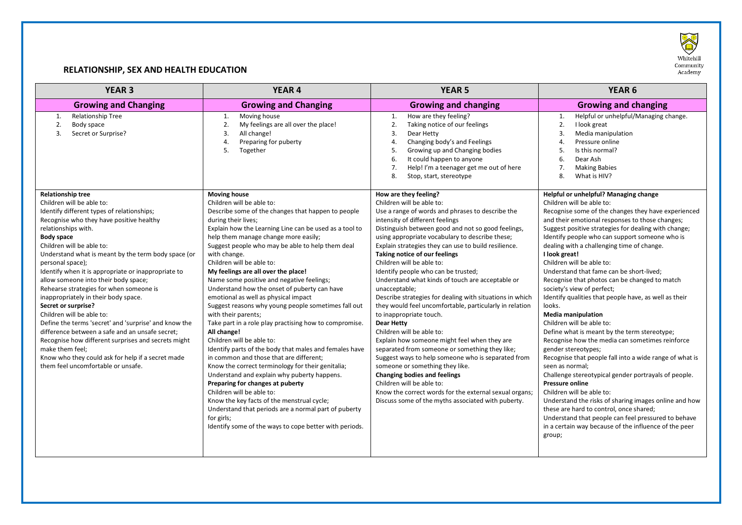

## **RELATIONSHIP, SEX AND HEALTH EDUCATION**

| <b>YEAR 3</b>                                                                                                                                                                                                                                                                                                                                                                                                                                                                                                                                                                                                                                                                                                                                                                                                              | <b>YEAR 4</b>                                                                                                                                                                                                                                                                                                                                                                                                                                                                                                                                                                                                                                                                                                                                                                                                                                                                                                                                                                                                                                                                                                                                            | <b>YEAR 5</b>                                                                                                                                                                                                                                                                                                                                                                                                                                                                                                                                                                                                                                                                                                                                                                                                                                                                                                                                                                                                                                                    | <b>YEAR 6</b>                                                                                                                                                                                                                                                                                                                                                                                                                                                                                                                                                                                                                                                                                                                                                                                                                                                                                                                                                                                                                                                                                                                                                                            |
|----------------------------------------------------------------------------------------------------------------------------------------------------------------------------------------------------------------------------------------------------------------------------------------------------------------------------------------------------------------------------------------------------------------------------------------------------------------------------------------------------------------------------------------------------------------------------------------------------------------------------------------------------------------------------------------------------------------------------------------------------------------------------------------------------------------------------|----------------------------------------------------------------------------------------------------------------------------------------------------------------------------------------------------------------------------------------------------------------------------------------------------------------------------------------------------------------------------------------------------------------------------------------------------------------------------------------------------------------------------------------------------------------------------------------------------------------------------------------------------------------------------------------------------------------------------------------------------------------------------------------------------------------------------------------------------------------------------------------------------------------------------------------------------------------------------------------------------------------------------------------------------------------------------------------------------------------------------------------------------------|------------------------------------------------------------------------------------------------------------------------------------------------------------------------------------------------------------------------------------------------------------------------------------------------------------------------------------------------------------------------------------------------------------------------------------------------------------------------------------------------------------------------------------------------------------------------------------------------------------------------------------------------------------------------------------------------------------------------------------------------------------------------------------------------------------------------------------------------------------------------------------------------------------------------------------------------------------------------------------------------------------------------------------------------------------------|------------------------------------------------------------------------------------------------------------------------------------------------------------------------------------------------------------------------------------------------------------------------------------------------------------------------------------------------------------------------------------------------------------------------------------------------------------------------------------------------------------------------------------------------------------------------------------------------------------------------------------------------------------------------------------------------------------------------------------------------------------------------------------------------------------------------------------------------------------------------------------------------------------------------------------------------------------------------------------------------------------------------------------------------------------------------------------------------------------------------------------------------------------------------------------------|
| <b>Growing and Changing</b>                                                                                                                                                                                                                                                                                                                                                                                                                                                                                                                                                                                                                                                                                                                                                                                                | <b>Growing and Changing</b>                                                                                                                                                                                                                                                                                                                                                                                                                                                                                                                                                                                                                                                                                                                                                                                                                                                                                                                                                                                                                                                                                                                              | <b>Growing and changing</b>                                                                                                                                                                                                                                                                                                                                                                                                                                                                                                                                                                                                                                                                                                                                                                                                                                                                                                                                                                                                                                      | <b>Growing and changing</b>                                                                                                                                                                                                                                                                                                                                                                                                                                                                                                                                                                                                                                                                                                                                                                                                                                                                                                                                                                                                                                                                                                                                                              |
| Relationship Tree<br>1.<br>2.<br>Body space<br>3.<br>Secret or Surprise?                                                                                                                                                                                                                                                                                                                                                                                                                                                                                                                                                                                                                                                                                                                                                   | Moving house<br>1.<br>My feelings are all over the place!<br>2.<br>3.<br>All change!<br>4.<br>Preparing for puberty<br>5.<br>Together                                                                                                                                                                                                                                                                                                                                                                                                                                                                                                                                                                                                                                                                                                                                                                                                                                                                                                                                                                                                                    | How are they feeling?<br>1.<br>2.<br>Taking notice of our feelings<br>$\overline{3}$ .<br>Dear Hetty<br>$\overline{4}$<br>Changing body's and Feelings<br>5.<br>Growing up and Changing bodies<br>6.<br>It could happen to anyone<br>7.<br>Help! I'm a teenager get me out of here<br>8.<br>Stop, start, stereotype                                                                                                                                                                                                                                                                                                                                                                                                                                                                                                                                                                                                                                                                                                                                              | Helpful or unhelpful/Managing change.<br>1.<br>2.<br>I look great<br>3.<br>Media manipulation<br>Pressure online<br>4.<br>Is this normal?<br>5.<br>Dear Ash<br>6.<br>7.<br><b>Making Babies</b><br>8.<br>What is HIV?                                                                                                                                                                                                                                                                                                                                                                                                                                                                                                                                                                                                                                                                                                                                                                                                                                                                                                                                                                    |
| <b>Relationship tree</b><br>Children will be able to:<br>Identify different types of relationships;<br>Recognise who they have positive healthy<br>relationships with.<br><b>Body space</b><br>Children will be able to:<br>Understand what is meant by the term body space (or<br>personal space);<br>Identify when it is appropriate or inappropriate to<br>allow someone into their body space;<br>Rehearse strategies for when someone is<br>inappropriately in their body space.<br>Secret or surprise?<br>Children will be able to:<br>Define the terms 'secret' and 'surprise' and know the<br>difference between a safe and an unsafe secret;<br>Recognise how different surprises and secrets might<br>make them feel;<br>Know who they could ask for help if a secret made<br>them feel uncomfortable or unsafe. | <b>Moving house</b><br>Children will be able to:<br>Describe some of the changes that happen to people<br>during their lives;<br>Explain how the Learning Line can be used as a tool to<br>help them manage change more easily;<br>Suggest people who may be able to help them deal<br>with change.<br>Children will be able to:<br>My feelings are all over the place!<br>Name some positive and negative feelings;<br>Understand how the onset of puberty can have<br>emotional as well as physical impact<br>Suggest reasons why young people sometimes fall out<br>with their parents;<br>Take part in a role play practising how to compromise.<br>All change!<br>Children will be able to:<br>Identify parts of the body that males and females have<br>in common and those that are different;<br>Know the correct terminology for their genitalia;<br>Understand and explain why puberty happens.<br>Preparing for changes at puberty<br>Children will be able to:<br>Know the key facts of the menstrual cycle;<br>Understand that periods are a normal part of puberty<br>for girls;<br>Identify some of the ways to cope better with periods. | How are they feeling?<br>Children will be able to:<br>Use a range of words and phrases to describe the<br>intensity of different feelings<br>Distinguish between good and not so good feelings,<br>using appropriate vocabulary to describe these;<br>Explain strategies they can use to build resilience.<br>Taking notice of our feelings<br>Children will be able to:<br>Identify people who can be trusted;<br>Understand what kinds of touch are acceptable or<br>unacceptable;<br>Describe strategies for dealing with situations in which<br>they would feel uncomfortable, particularly in relation<br>to inappropriate touch.<br><b>Dear Hetty</b><br>Children will be able to:<br>Explain how someone might feel when they are<br>separated from someone or something they like;<br>Suggest ways to help someone who is separated from<br>someone or something they like.<br>Changing bodies and feelings<br>Children will be able to:<br>Know the correct words for the external sexual organs;<br>Discuss some of the myths associated with puberty. | Helpful or unhelpful? Managing change<br>Children will be able to:<br>Recognise some of the changes they have experienced<br>and their emotional responses to those changes;<br>Suggest positive strategies for dealing with change;<br>Identify people who can support someone who is<br>dealing with a challenging time of change.<br>I look great!<br>Children will be able to:<br>Understand that fame can be short-lived;<br>Recognise that photos can be changed to match<br>society's view of perfect;<br>Identify qualities that people have, as well as their<br>looks.<br><b>Media manipulation</b><br>Children will be able to:<br>Define what is meant by the term stereotype;<br>Recognise how the media can sometimes reinforce<br>gender stereotypes;<br>Recognise that people fall into a wide range of what is<br>seen as normal:<br>Challenge stereotypical gender portrayals of people.<br>Pressure online<br>Children will be able to:<br>Understand the risks of sharing images online and how<br>these are hard to control, once shared;<br>Understand that people can feel pressured to behave<br>in a certain way because of the influence of the peer<br>group; |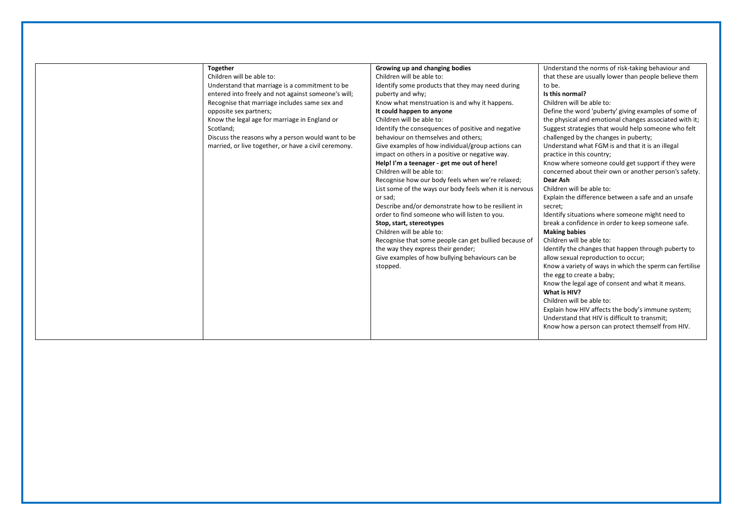| Growing up and changing bodies<br>Understand the norms of risk-taking behaviour and<br><b>Together</b><br>Children will be able to:<br>Children will be able to:<br>that these are usually lower than people believe them<br>Understand that marriage is a commitment to be<br>Identify some products that they may need during<br>to be.<br>Is this normal?<br>entered into freely and not against someone's will;<br>puberty and why;<br>Children will be able to:<br>Know what menstruation is and why it happens.<br>Recognise that marriage includes same sex and<br>Define the word 'puberty' giving examples of some of<br>It could happen to anyone<br>opposite sex partners;<br>Children will be able to:<br>Know the legal age for marriage in England or<br>the physical and emotional changes associated with it;<br>Identify the consequences of positive and negative<br>Suggest strategies that would help someone who felt<br>Scotland:<br>behaviour on themselves and others;<br>Discuss the reasons why a person would want to be<br>challenged by the changes in puberty;<br>married, or live together, or have a civil ceremony.<br>Give examples of how individual/group actions can<br>Understand what FGM is and that it is an illegal<br>impact on others in a positive or negative way.<br>practice in this country;<br>Know where someone could get support if they were<br>Help! I'm a teenager - get me out of here!<br>Children will be able to:<br>concerned about their own or another person's safety.<br>Recognise how our body feels when we're relaxed;<br>Dear Ash<br>Children will be able to:<br>List some of the ways our body feels when it is nervous<br>Explain the difference between a safe and an unsafe<br>or sad;<br>Describe and/or demonstrate how to be resilient in<br>secret: |  |  |
|-----------------------------------------------------------------------------------------------------------------------------------------------------------------------------------------------------------------------------------------------------------------------------------------------------------------------------------------------------------------------------------------------------------------------------------------------------------------------------------------------------------------------------------------------------------------------------------------------------------------------------------------------------------------------------------------------------------------------------------------------------------------------------------------------------------------------------------------------------------------------------------------------------------------------------------------------------------------------------------------------------------------------------------------------------------------------------------------------------------------------------------------------------------------------------------------------------------------------------------------------------------------------------------------------------------------------------------------------------------------------------------------------------------------------------------------------------------------------------------------------------------------------------------------------------------------------------------------------------------------------------------------------------------------------------------------------------------------------------------------------------------------------------------------------------------------------------------|--|--|
|                                                                                                                                                                                                                                                                                                                                                                                                                                                                                                                                                                                                                                                                                                                                                                                                                                                                                                                                                                                                                                                                                                                                                                                                                                                                                                                                                                                                                                                                                                                                                                                                                                                                                                                                                                                                                                   |  |  |
|                                                                                                                                                                                                                                                                                                                                                                                                                                                                                                                                                                                                                                                                                                                                                                                                                                                                                                                                                                                                                                                                                                                                                                                                                                                                                                                                                                                                                                                                                                                                                                                                                                                                                                                                                                                                                                   |  |  |
|                                                                                                                                                                                                                                                                                                                                                                                                                                                                                                                                                                                                                                                                                                                                                                                                                                                                                                                                                                                                                                                                                                                                                                                                                                                                                                                                                                                                                                                                                                                                                                                                                                                                                                                                                                                                                                   |  |  |
|                                                                                                                                                                                                                                                                                                                                                                                                                                                                                                                                                                                                                                                                                                                                                                                                                                                                                                                                                                                                                                                                                                                                                                                                                                                                                                                                                                                                                                                                                                                                                                                                                                                                                                                                                                                                                                   |  |  |
|                                                                                                                                                                                                                                                                                                                                                                                                                                                                                                                                                                                                                                                                                                                                                                                                                                                                                                                                                                                                                                                                                                                                                                                                                                                                                                                                                                                                                                                                                                                                                                                                                                                                                                                                                                                                                                   |  |  |
|                                                                                                                                                                                                                                                                                                                                                                                                                                                                                                                                                                                                                                                                                                                                                                                                                                                                                                                                                                                                                                                                                                                                                                                                                                                                                                                                                                                                                                                                                                                                                                                                                                                                                                                                                                                                                                   |  |  |
|                                                                                                                                                                                                                                                                                                                                                                                                                                                                                                                                                                                                                                                                                                                                                                                                                                                                                                                                                                                                                                                                                                                                                                                                                                                                                                                                                                                                                                                                                                                                                                                                                                                                                                                                                                                                                                   |  |  |
|                                                                                                                                                                                                                                                                                                                                                                                                                                                                                                                                                                                                                                                                                                                                                                                                                                                                                                                                                                                                                                                                                                                                                                                                                                                                                                                                                                                                                                                                                                                                                                                                                                                                                                                                                                                                                                   |  |  |
|                                                                                                                                                                                                                                                                                                                                                                                                                                                                                                                                                                                                                                                                                                                                                                                                                                                                                                                                                                                                                                                                                                                                                                                                                                                                                                                                                                                                                                                                                                                                                                                                                                                                                                                                                                                                                                   |  |  |
|                                                                                                                                                                                                                                                                                                                                                                                                                                                                                                                                                                                                                                                                                                                                                                                                                                                                                                                                                                                                                                                                                                                                                                                                                                                                                                                                                                                                                                                                                                                                                                                                                                                                                                                                                                                                                                   |  |  |
|                                                                                                                                                                                                                                                                                                                                                                                                                                                                                                                                                                                                                                                                                                                                                                                                                                                                                                                                                                                                                                                                                                                                                                                                                                                                                                                                                                                                                                                                                                                                                                                                                                                                                                                                                                                                                                   |  |  |
|                                                                                                                                                                                                                                                                                                                                                                                                                                                                                                                                                                                                                                                                                                                                                                                                                                                                                                                                                                                                                                                                                                                                                                                                                                                                                                                                                                                                                                                                                                                                                                                                                                                                                                                                                                                                                                   |  |  |
|                                                                                                                                                                                                                                                                                                                                                                                                                                                                                                                                                                                                                                                                                                                                                                                                                                                                                                                                                                                                                                                                                                                                                                                                                                                                                                                                                                                                                                                                                                                                                                                                                                                                                                                                                                                                                                   |  |  |
|                                                                                                                                                                                                                                                                                                                                                                                                                                                                                                                                                                                                                                                                                                                                                                                                                                                                                                                                                                                                                                                                                                                                                                                                                                                                                                                                                                                                                                                                                                                                                                                                                                                                                                                                                                                                                                   |  |  |
|                                                                                                                                                                                                                                                                                                                                                                                                                                                                                                                                                                                                                                                                                                                                                                                                                                                                                                                                                                                                                                                                                                                                                                                                                                                                                                                                                                                                                                                                                                                                                                                                                                                                                                                                                                                                                                   |  |  |
|                                                                                                                                                                                                                                                                                                                                                                                                                                                                                                                                                                                                                                                                                                                                                                                                                                                                                                                                                                                                                                                                                                                                                                                                                                                                                                                                                                                                                                                                                                                                                                                                                                                                                                                                                                                                                                   |  |  |
|                                                                                                                                                                                                                                                                                                                                                                                                                                                                                                                                                                                                                                                                                                                                                                                                                                                                                                                                                                                                                                                                                                                                                                                                                                                                                                                                                                                                                                                                                                                                                                                                                                                                                                                                                                                                                                   |  |  |
| order to find someone who will listen to you.<br>Identify situations where someone might need to                                                                                                                                                                                                                                                                                                                                                                                                                                                                                                                                                                                                                                                                                                                                                                                                                                                                                                                                                                                                                                                                                                                                                                                                                                                                                                                                                                                                                                                                                                                                                                                                                                                                                                                                  |  |  |
| break a confidence in order to keep someone safe.<br>Stop, start, stereotypes                                                                                                                                                                                                                                                                                                                                                                                                                                                                                                                                                                                                                                                                                                                                                                                                                                                                                                                                                                                                                                                                                                                                                                                                                                                                                                                                                                                                                                                                                                                                                                                                                                                                                                                                                     |  |  |
| Children will be able to:<br><b>Making babies</b>                                                                                                                                                                                                                                                                                                                                                                                                                                                                                                                                                                                                                                                                                                                                                                                                                                                                                                                                                                                                                                                                                                                                                                                                                                                                                                                                                                                                                                                                                                                                                                                                                                                                                                                                                                                 |  |  |
| Children will be able to:<br>Recognise that some people can get bullied because of                                                                                                                                                                                                                                                                                                                                                                                                                                                                                                                                                                                                                                                                                                                                                                                                                                                                                                                                                                                                                                                                                                                                                                                                                                                                                                                                                                                                                                                                                                                                                                                                                                                                                                                                                |  |  |
| the way they express their gender;<br>Identify the changes that happen through puberty to                                                                                                                                                                                                                                                                                                                                                                                                                                                                                                                                                                                                                                                                                                                                                                                                                                                                                                                                                                                                                                                                                                                                                                                                                                                                                                                                                                                                                                                                                                                                                                                                                                                                                                                                         |  |  |
| Give examples of how bullying behaviours can be<br>allow sexual reproduction to occur;                                                                                                                                                                                                                                                                                                                                                                                                                                                                                                                                                                                                                                                                                                                                                                                                                                                                                                                                                                                                                                                                                                                                                                                                                                                                                                                                                                                                                                                                                                                                                                                                                                                                                                                                            |  |  |
| Know a variety of ways in which the sperm can fertilise<br>stopped.                                                                                                                                                                                                                                                                                                                                                                                                                                                                                                                                                                                                                                                                                                                                                                                                                                                                                                                                                                                                                                                                                                                                                                                                                                                                                                                                                                                                                                                                                                                                                                                                                                                                                                                                                               |  |  |
| the egg to create a baby;                                                                                                                                                                                                                                                                                                                                                                                                                                                                                                                                                                                                                                                                                                                                                                                                                                                                                                                                                                                                                                                                                                                                                                                                                                                                                                                                                                                                                                                                                                                                                                                                                                                                                                                                                                                                         |  |  |
| Know the legal age of consent and what it means.                                                                                                                                                                                                                                                                                                                                                                                                                                                                                                                                                                                                                                                                                                                                                                                                                                                                                                                                                                                                                                                                                                                                                                                                                                                                                                                                                                                                                                                                                                                                                                                                                                                                                                                                                                                  |  |  |
| What is HIV?                                                                                                                                                                                                                                                                                                                                                                                                                                                                                                                                                                                                                                                                                                                                                                                                                                                                                                                                                                                                                                                                                                                                                                                                                                                                                                                                                                                                                                                                                                                                                                                                                                                                                                                                                                                                                      |  |  |
| Children will be able to:                                                                                                                                                                                                                                                                                                                                                                                                                                                                                                                                                                                                                                                                                                                                                                                                                                                                                                                                                                                                                                                                                                                                                                                                                                                                                                                                                                                                                                                                                                                                                                                                                                                                                                                                                                                                         |  |  |
| Explain how HIV affects the body's immune system;                                                                                                                                                                                                                                                                                                                                                                                                                                                                                                                                                                                                                                                                                                                                                                                                                                                                                                                                                                                                                                                                                                                                                                                                                                                                                                                                                                                                                                                                                                                                                                                                                                                                                                                                                                                 |  |  |
| Understand that HIV is difficult to transmit;                                                                                                                                                                                                                                                                                                                                                                                                                                                                                                                                                                                                                                                                                                                                                                                                                                                                                                                                                                                                                                                                                                                                                                                                                                                                                                                                                                                                                                                                                                                                                                                                                                                                                                                                                                                     |  |  |
| Know how a person can protect themself from HIV.                                                                                                                                                                                                                                                                                                                                                                                                                                                                                                                                                                                                                                                                                                                                                                                                                                                                                                                                                                                                                                                                                                                                                                                                                                                                                                                                                                                                                                                                                                                                                                                                                                                                                                                                                                                  |  |  |
|                                                                                                                                                                                                                                                                                                                                                                                                                                                                                                                                                                                                                                                                                                                                                                                                                                                                                                                                                                                                                                                                                                                                                                                                                                                                                                                                                                                                                                                                                                                                                                                                                                                                                                                                                                                                                                   |  |  |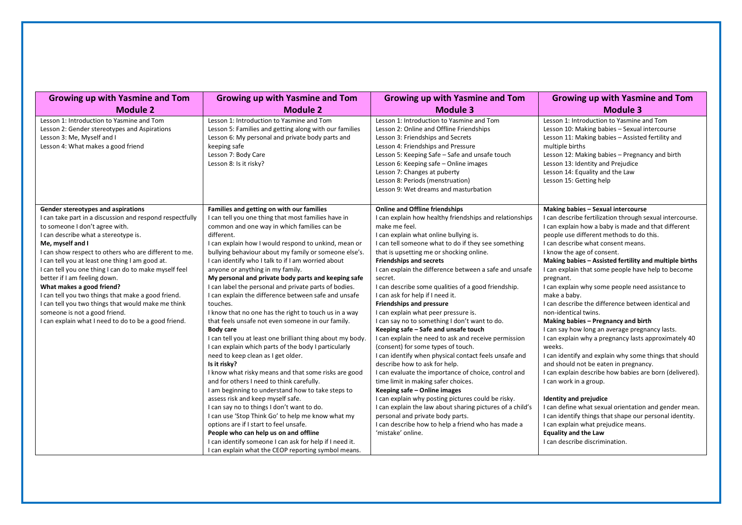| <b>Growing up with Yasmine and Tom</b>                                                                                                                                                                                                                                                                                                                                                                                                                                                                                                                                                                                              | <b>Growing up with Yasmine and Tom</b>                                                                                                                                                                                                                                                                                                                                                                                                                                                                                                                                                                                                                                                                                                                                                                                                                                                                                                                                                                                                                                                                                                                                                                                                                                                                                                                                            | <b>Growing up with Yasmine and Tom</b>                                                                                                                                                                                                                                                                                                                                                                                                                                                                                                                                                                                                                                                                                                                                                                                                                                                                                                                                                                                                                                                                                                                                                 | Growing up with Yasmine and Tom                                                                                                                                                                                                                                                                                                                                                                                                                                                                                                                                                                                                                                                                                                                                                                                                                                                                                                                                                                                                                                                                                                                                       |
|-------------------------------------------------------------------------------------------------------------------------------------------------------------------------------------------------------------------------------------------------------------------------------------------------------------------------------------------------------------------------------------------------------------------------------------------------------------------------------------------------------------------------------------------------------------------------------------------------------------------------------------|-----------------------------------------------------------------------------------------------------------------------------------------------------------------------------------------------------------------------------------------------------------------------------------------------------------------------------------------------------------------------------------------------------------------------------------------------------------------------------------------------------------------------------------------------------------------------------------------------------------------------------------------------------------------------------------------------------------------------------------------------------------------------------------------------------------------------------------------------------------------------------------------------------------------------------------------------------------------------------------------------------------------------------------------------------------------------------------------------------------------------------------------------------------------------------------------------------------------------------------------------------------------------------------------------------------------------------------------------------------------------------------|----------------------------------------------------------------------------------------------------------------------------------------------------------------------------------------------------------------------------------------------------------------------------------------------------------------------------------------------------------------------------------------------------------------------------------------------------------------------------------------------------------------------------------------------------------------------------------------------------------------------------------------------------------------------------------------------------------------------------------------------------------------------------------------------------------------------------------------------------------------------------------------------------------------------------------------------------------------------------------------------------------------------------------------------------------------------------------------------------------------------------------------------------------------------------------------|-----------------------------------------------------------------------------------------------------------------------------------------------------------------------------------------------------------------------------------------------------------------------------------------------------------------------------------------------------------------------------------------------------------------------------------------------------------------------------------------------------------------------------------------------------------------------------------------------------------------------------------------------------------------------------------------------------------------------------------------------------------------------------------------------------------------------------------------------------------------------------------------------------------------------------------------------------------------------------------------------------------------------------------------------------------------------------------------------------------------------------------------------------------------------|
| <b>Module 2</b>                                                                                                                                                                                                                                                                                                                                                                                                                                                                                                                                                                                                                     | <b>Module 2</b>                                                                                                                                                                                                                                                                                                                                                                                                                                                                                                                                                                                                                                                                                                                                                                                                                                                                                                                                                                                                                                                                                                                                                                                                                                                                                                                                                                   | <b>Module 3</b>                                                                                                                                                                                                                                                                                                                                                                                                                                                                                                                                                                                                                                                                                                                                                                                                                                                                                                                                                                                                                                                                                                                                                                        | <b>Module 3</b>                                                                                                                                                                                                                                                                                                                                                                                                                                                                                                                                                                                                                                                                                                                                                                                                                                                                                                                                                                                                                                                                                                                                                       |
| Lesson 1: Introduction to Yasmine and Tom<br>Lesson 2: Gender stereotypes and Aspirations<br>Lesson 3: Me, Myself and I<br>Lesson 4: What makes a good friend                                                                                                                                                                                                                                                                                                                                                                                                                                                                       | Lesson 1: Introduction to Yasmine and Tom<br>Lesson 5: Families and getting along with our families<br>Lesson 6: My personal and private body parts and<br>keeping safe<br>Lesson 7: Body Care<br>Lesson 8: Is it risky?                                                                                                                                                                                                                                                                                                                                                                                                                                                                                                                                                                                                                                                                                                                                                                                                                                                                                                                                                                                                                                                                                                                                                          | Lesson 1: Introduction to Yasmine and Tom<br>Lesson 2: Online and Offline Friendships<br>Lesson 3: Friendships and Secrets<br>Lesson 4: Friendships and Pressure<br>Lesson 5: Keeping Safe - Safe and unsafe touch<br>Lesson 6: Keeping safe - Online images<br>Lesson 7: Changes at puberty<br>Lesson 8: Periods (menstruation)<br>Lesson 9: Wet dreams and masturbation                                                                                                                                                                                                                                                                                                                                                                                                                                                                                                                                                                                                                                                                                                                                                                                                              | Lesson 1: Introduction to Yasmine and Tom<br>Lesson 10: Making babies - Sexual intercourse<br>Lesson 11: Making babies - Assisted fertility and<br>multiple births<br>Lesson 12: Making babies - Pregnancy and birth<br>Lesson 13: Identity and Prejudice<br>Lesson 14: Equality and the Law<br>Lesson 15: Getting help                                                                                                                                                                                                                                                                                                                                                                                                                                                                                                                                                                                                                                                                                                                                                                                                                                               |
| Gender stereotypes and aspirations<br>I can take part in a discussion and respond respectfully<br>to someone I don't agree with.<br>I can describe what a stereotype is.<br>Me, myself and I<br>I can show respect to others who are different to me.<br>I can tell you at least one thing I am good at.<br>I can tell you one thing I can do to make myself feel<br>better if I am feeling down.<br>What makes a good friend?<br>I can tell you two things that make a good friend.<br>I can tell you two things that would make me think<br>someone is not a good friend.<br>I can explain what I need to do to be a good friend. | Families and getting on with our families<br>I can tell you one thing that most families have in<br>common and one way in which families can be<br>different.<br>I can explain how I would respond to unkind, mean or<br>bullying behaviour about my family or someone else's.<br>I can identify who I talk to if I am worried about<br>anyone or anything in my family.<br>My personal and private body parts and keeping safe<br>I can label the personal and private parts of bodies.<br>I can explain the difference between safe and unsafe<br>touches.<br>I know that no one has the right to touch us in a way<br>that feels unsafe not even someone in our family.<br><b>Body care</b><br>I can tell you at least one brilliant thing about my body.<br>I can explain which parts of the body I particularly<br>need to keep clean as I get older.<br>Is it risky?<br>I know what risky means and that some risks are good<br>and for others I need to think carefully.<br>I am beginning to understand how to take steps to<br>assess risk and keep myself safe.<br>I can say no to things I don't want to do.<br>I can use 'Stop Think Go' to help me know what my<br>options are if I start to feel unsafe.<br>People who can help us on and offline<br>I can identify someone I can ask for help if I need it.<br>I can explain what the CEOP reporting symbol means. | <b>Online and Offline friendships</b><br>I can explain how healthy friendships and relationships<br>make me feel.<br>I can explain what online bullying is.<br>I can tell someone what to do if they see something<br>that is upsetting me or shocking online.<br><b>Friendships and secrets</b><br>I can explain the difference between a safe and unsafe<br>secret.<br>I can describe some qualities of a good friendship.<br>I can ask for help if I need it.<br>Friendships and pressure<br>I can explain what peer pressure is.<br>I can say no to something I don't want to do.<br>Keeping safe - Safe and unsafe touch<br>I can explain the need to ask and receive permission<br>(consent) for some types of touch.<br>I can identify when physical contact feels unsafe and<br>describe how to ask for help.<br>I can evaluate the importance of choice, control and<br>time limit in making safer choices.<br>Keeping safe - Online images<br>I can explain why posting pictures could be risky.<br>I can explain the law about sharing pictures of a child's<br>personal and private body parts.<br>I can describe how to help a friend who has made a<br>'mistake' online. | Making babies - Sexual intercourse<br>I can describe fertilization through sexual intercourse.<br>I can explain how a baby is made and that different<br>people use different methods to do this.<br>I can describe what consent means.<br>I know the age of consent.<br>Making babies - Assisted fertility and multiple births<br>I can explain that some people have help to become<br>pregnant.<br>I can explain why some people need assistance to<br>make a baby.<br>I can describe the difference between identical and<br>non-identical twins.<br>Making babies - Pregnancy and birth<br>I can say how long an average pregnancy lasts.<br>I can explain why a pregnancy lasts approximately 40<br>weeks.<br>I can identify and explain why some things that should<br>and should not be eaten in pregnancy.<br>I can explain describe how babies are born (delivered).<br>I can work in a group.<br><b>Identity and prejudice</b><br>I can define what sexual orientation and gender mean.<br>I can identify things that shape our personal identity.<br>I can explain what prejudice means.<br><b>Equality and the Law</b><br>I can describe discrimination. |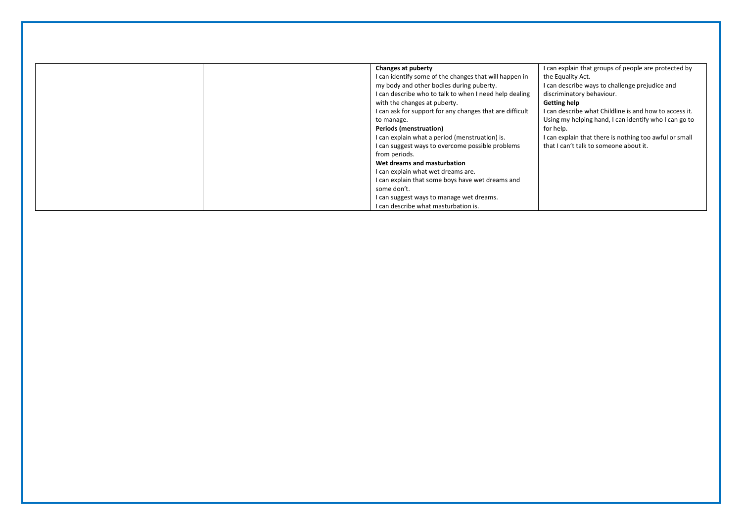| Changes at puberty                                       | I can explain that groups of people are protected by   |
|----------------------------------------------------------|--------------------------------------------------------|
| I can identify some of the changes that will happen in   | the Equality Act.                                      |
| my body and other bodies during puberty.                 | I can describe ways to challenge prejudice and         |
| I can describe who to talk to when I need help dealing   | discriminatory behaviour.                              |
| with the changes at puberty.                             | <b>Getting help</b>                                    |
| I can ask for support for any changes that are difficult | I can describe what Childline is and how to access it. |
| to manage.                                               | Using my helping hand, I can identify who I can go to  |
| <b>Periods (menstruation)</b>                            | for help.                                              |
| I can explain what a period (menstruation) is.           | I can explain that there is nothing too awful or small |
| I can suggest ways to overcome possible problems         | that I can't talk to someone about it.                 |
| from periods.                                            |                                                        |
| Wet dreams and masturbation                              |                                                        |
| I can explain what wet dreams are.                       |                                                        |
| I can explain that some boys have wet dreams and         |                                                        |
| some don't.                                              |                                                        |
| I can suggest ways to manage wet dreams.                 |                                                        |
| I can describe what masturbation is.                     |                                                        |